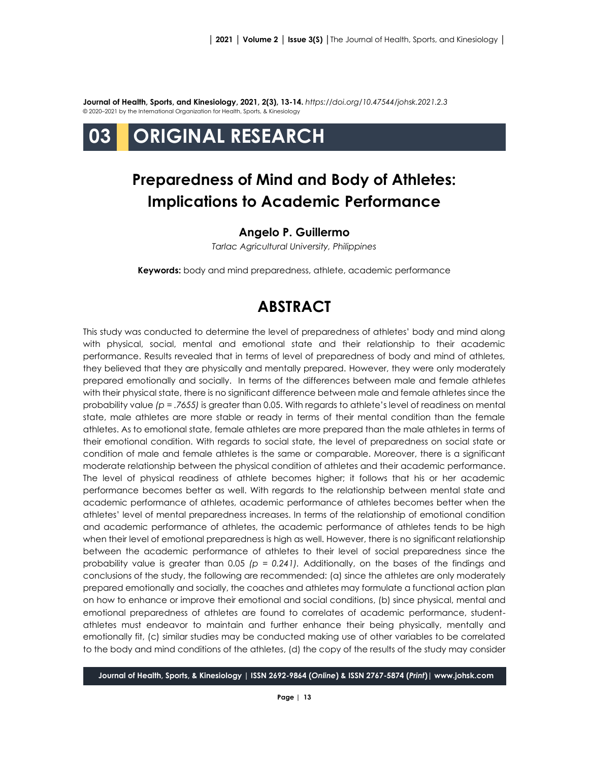**Journal of Health, Sports, and Kinesiology, 2021, 2(3), 13-14.** *<https://doi.org/10.47544/johsk.2021.2.3>* © 2020–2021 by the International Organization for Health, Sports, & Kinesiology



## **Preparedness of Mind and Body of Athletes: Implications to Academic Performance**

## **Angelo P. Guillermo**

*Tarlac Agricultural University, Philippines*

**Keywords:** body and mind preparedness, athlete, academic performance

## **ABSTRACT**

This study was conducted to determine the level of preparedness of athletes' body and mind along with physical, social, mental and emotional state and their relationship to their academic performance. Results revealed that in terms of level of preparedness of body and mind of athletes, they believed that they are physically and mentally prepared. However, they were only moderately prepared emotionally and socially. In terms of the differences between male and female athletes with their physical state, there is no significant difference between male and female athletes since the probability value *(p = .7655)* is greater than 0.05. With regards to athlete's level of readiness on mental state, male athletes are more stable or ready in terms of their mental condition than the female athletes. As to emotional state, female athletes are more prepared than the male athletes in terms of their emotional condition. With regards to social state, the level of preparedness on social state or condition of male and female athletes is the same or comparable. Moreover, there is a significant moderate relationship between the physical condition of athletes and their academic performance. The level of physical readiness of athlete becomes higher; it follows that his or her academic performance becomes better as well. With regards to the relationship between mental state and academic performance of athletes, academic performance of athletes becomes better when the athletes' level of mental preparedness increases. In terms of the relationship of emotional condition and academic performance of athletes, the academic performance of athletes tends to be high when their level of emotional preparedness is high as well. However, there is no significant relationship between the academic performance of athletes to their level of social preparedness since the probability value is greater than 0.05 *(p = 0.241).* Additionally, on the bases of the findings and conclusions of the study, the following are recommended: (a) since the athletes are only moderately prepared emotionally and socially, the coaches and athletes may formulate a functional action plan on how to enhance or improve their emotional and social conditions, (b) since physical, mental and emotional preparedness of athletes are found to correlates of academic performance, studentathletes must endeavor to maintain and further enhance their being physically, mentally and emotionally fit, (c) similar studies may be conducted making use of other variables to be correlated to the body and mind conditions of the athletes, (d) the copy of the results of the study may consider

**Journal of Health, Sports, & Kinesiology | ISSN 2692-9864 (***Online***) & ISSN 2767-5874 (***Print***)| www.johsk.com**